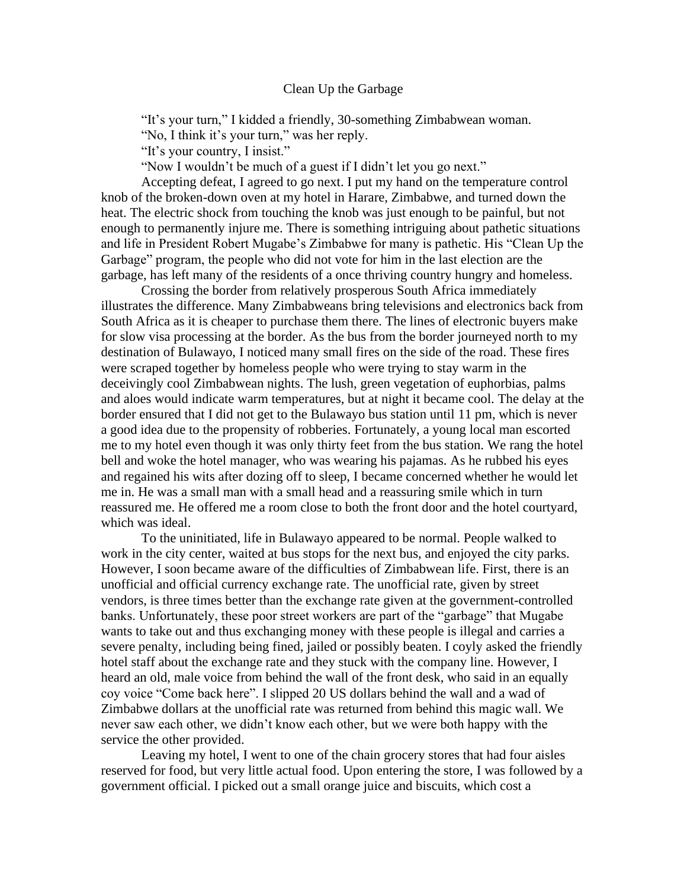## Clean Up the Garbage

"It's your turn," I kidded a friendly, 30-something Zimbabwean woman.

"No, I think it's your turn," was her reply.

"It's your country, I insist."

"Now I wouldn't be much of a guest if I didn't let you go next."

Accepting defeat, I agreed to go next. I put my hand on the temperature control knob of the broken-down oven at my hotel in Harare, Zimbabwe, and turned down the heat. The electric shock from touching the knob was just enough to be painful, but not enough to permanently injure me. There is something intriguing about pathetic situations and life in President Robert Mugabe's Zimbabwe for many is pathetic. His "Clean Up the Garbage" program, the people who did not vote for him in the last election are the garbage, has left many of the residents of a once thriving country hungry and homeless.

Crossing the border from relatively prosperous South Africa immediately illustrates the difference. Many Zimbabweans bring televisions and electronics back from South Africa as it is cheaper to purchase them there. The lines of electronic buyers make for slow visa processing at the border. As the bus from the border journeyed north to my destination of Bulawayo, I noticed many small fires on the side of the road. These fires were scraped together by homeless people who were trying to stay warm in the deceivingly cool Zimbabwean nights. The lush, green vegetation of euphorbias, palms and aloes would indicate warm temperatures, but at night it became cool. The delay at the border ensured that I did not get to the Bulawayo bus station until 11 pm, which is never a good idea due to the propensity of robberies. Fortunately, a young local man escorted me to my hotel even though it was only thirty feet from the bus station. We rang the hotel bell and woke the hotel manager, who was wearing his pajamas. As he rubbed his eyes and regained his wits after dozing off to sleep, I became concerned whether he would let me in. He was a small man with a small head and a reassuring smile which in turn reassured me. He offered me a room close to both the front door and the hotel courtyard, which was ideal.

To the uninitiated, life in Bulawayo appeared to be normal. People walked to work in the city center, waited at bus stops for the next bus, and enjoyed the city parks. However, I soon became aware of the difficulties of Zimbabwean life. First, there is an unofficial and official currency exchange rate. The unofficial rate, given by street vendors, is three times better than the exchange rate given at the government-controlled banks. Unfortunately, these poor street workers are part of the "garbage" that Mugabe wants to take out and thus exchanging money with these people is illegal and carries a severe penalty, including being fined, jailed or possibly beaten. I coyly asked the friendly hotel staff about the exchange rate and they stuck with the company line. However, I heard an old, male voice from behind the wall of the front desk, who said in an equally coy voice "Come back here". I slipped 20 US dollars behind the wall and a wad of Zimbabwe dollars at the unofficial rate was returned from behind this magic wall. We never saw each other, we didn't know each other, but we were both happy with the service the other provided.

Leaving my hotel, I went to one of the chain grocery stores that had four aisles reserved for food, but very little actual food. Upon entering the store, I was followed by a government official. I picked out a small orange juice and biscuits, which cost a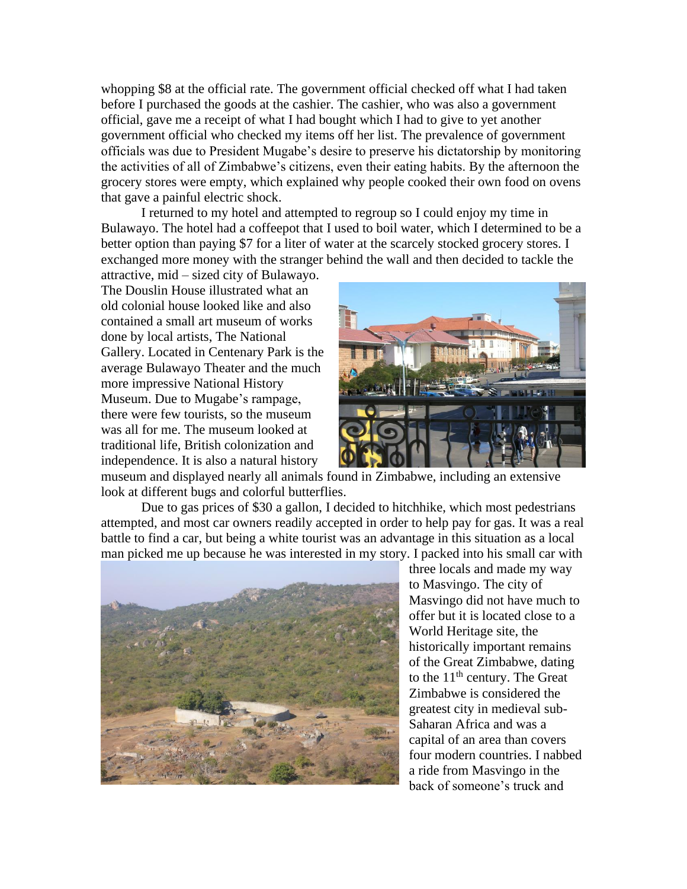whopping \$8 at the official rate. The government official checked off what I had taken before I purchased the goods at the cashier. The cashier, who was also a government official, gave me a receipt of what I had bought which I had to give to yet another government official who checked my items off her list. The prevalence of government officials was due to President Mugabe's desire to preserve his dictatorship by monitoring the activities of all of Zimbabwe's citizens, even their eating habits. By the afternoon the grocery stores were empty, which explained why people cooked their own food on ovens that gave a painful electric shock.

I returned to my hotel and attempted to regroup so I could enjoy my time in Bulawayo. The hotel had a coffeepot that I used to boil water, which I determined to be a better option than paying \$7 for a liter of water at the scarcely stocked grocery stores. I exchanged more money with the stranger behind the wall and then decided to tackle the

attractive, mid – sized city of Bulawayo. The Douslin House illustrated what an old colonial house looked like and also contained a small art museum of works done by local artists, The National Gallery. Located in Centenary Park is the average Bulawayo Theater and the much more impressive National History Museum. Due to Mugabe's rampage, there were few tourists, so the museum was all for me. The museum looked at traditional life, British colonization and independence. It is also a natural history



museum and displayed nearly all animals found in Zimbabwe, including an extensive look at different bugs and colorful butterflies.

Due to gas prices of \$30 a gallon, I decided to hitchhike, which most pedestrians attempted, and most car owners readily accepted in order to help pay for gas. It was a real battle to find a car, but being a white tourist was an advantage in this situation as a local man picked me up because he was interested in my story. I packed into his small car with



three locals and made my way to Masvingo. The city of Masvingo did not have much to offer but it is located close to a World Heritage site, the historically important remains of the Great Zimbabwe, dating to the  $11<sup>th</sup>$  century. The Great Zimbabwe is considered the greatest city in medieval sub-Saharan Africa and was a capital of an area than covers four modern countries. I nabbed a ride from Masvingo in the back of someone's truck and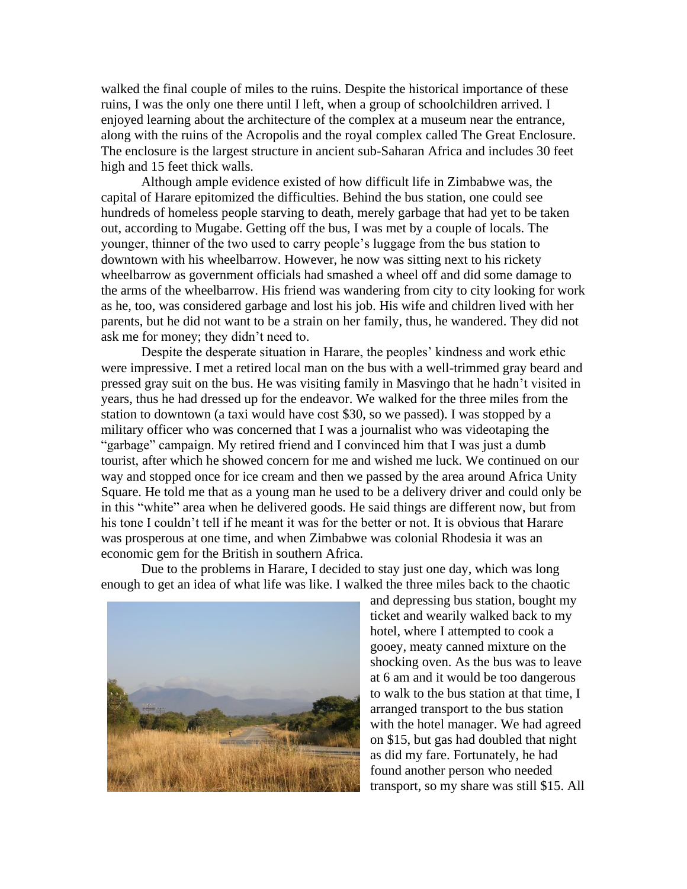walked the final couple of miles to the ruins. Despite the historical importance of these ruins, I was the only one there until I left, when a group of schoolchildren arrived. I enjoyed learning about the architecture of the complex at a museum near the entrance, along with the ruins of the Acropolis and the royal complex called The Great Enclosure. The enclosure is the largest structure in ancient sub-Saharan Africa and includes 30 feet high and 15 feet thick walls.

Although ample evidence existed of how difficult life in Zimbabwe was, the capital of Harare epitomized the difficulties. Behind the bus station, one could see hundreds of homeless people starving to death, merely garbage that had yet to be taken out, according to Mugabe. Getting off the bus, I was met by a couple of locals. The younger, thinner of the two used to carry people's luggage from the bus station to downtown with his wheelbarrow. However, he now was sitting next to his rickety wheelbarrow as government officials had smashed a wheel off and did some damage to the arms of the wheelbarrow. His friend was wandering from city to city looking for work as he, too, was considered garbage and lost his job. His wife and children lived with her parents, but he did not want to be a strain on her family, thus, he wandered. They did not ask me for money; they didn't need to.

Despite the desperate situation in Harare, the peoples' kindness and work ethic were impressive. I met a retired local man on the bus with a well-trimmed gray beard and pressed gray suit on the bus. He was visiting family in Masvingo that he hadn't visited in years, thus he had dressed up for the endeavor. We walked for the three miles from the station to downtown (a taxi would have cost \$30, so we passed). I was stopped by a military officer who was concerned that I was a journalist who was videotaping the "garbage" campaign. My retired friend and I convinced him that I was just a dumb tourist, after which he showed concern for me and wished me luck. We continued on our way and stopped once for ice cream and then we passed by the area around Africa Unity Square. He told me that as a young man he used to be a delivery driver and could only be in this "white" area when he delivered goods. He said things are different now, but from his tone I couldn't tell if he meant it was for the better or not. It is obvious that Harare was prosperous at one time, and when Zimbabwe was colonial Rhodesia it was an economic gem for the British in southern Africa.

Due to the problems in Harare, I decided to stay just one day, which was long enough to get an idea of what life was like. I walked the three miles back to the chaotic



and depressing bus station, bought my ticket and wearily walked back to my hotel, where I attempted to cook a gooey, meaty canned mixture on the shocking oven. As the bus was to leave at 6 am and it would be too dangerous to walk to the bus station at that time, I arranged transport to the bus station with the hotel manager. We had agreed on \$15, but gas had doubled that night as did my fare. Fortunately, he had found another person who needed transport, so my share was still \$15. All